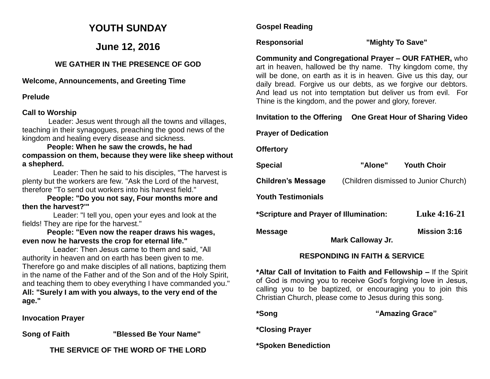## **YOUTH SUNDAY**

#### **June 12, 2016**

#### **WE GATHER IN THE PRESENCE OF GOD**

#### **Welcome, Announcements, and Greeting Time**

#### **Prelude**

#### **Call to Worship**

Leader: Jesus went through all the towns and villages, teaching in their synagogues, preaching the good news of the kingdom and healing every disease and sickness.

 **People: When he saw the crowds, he had compassion on them, because they were like sheep without a shepherd.**

 Leader: Then he said to his disciples, "The harvest is plenty but the workers are few. "Ask the Lord of the harvest, therefore "To send out workers into his harvest field."

 **People: "Do you not say, Four months more and then the harvest?'"**

 Leader: "I tell you, open your eyes and look at the fields! They are ripe for the harvest."

 **People: "Even now the reaper draws his wages, even now he harvests the crop for eternal life."**

 Leader: Then Jesus came to them and said, "All authority in heaven and on earth has been given to me. Therefore go and make disciples of all nations, baptizing them in the name of the Father and of the Son and of the Holy Spirit, and teaching them to obey everything I have commanded you." **All: "Surely I am with you always, to the very end of the age."**

**Invocation Prayer** 

**Song of Faith "Blessed Be Your Name"** 

**THE SERVICE OF THE WORD OF THE LORD**

#### **Gospel Reading**

#### **Responsorial "Mighty To Save"**

**Community and Congregational Prayer – OUR FATHER,** who art in heaven, hallowed be thy name. Thy kingdom come, thy will be done, on earth as it is in heaven. Give us this day, our daily bread. Forgive us our debts, as we forgive our debtors. And lead us not into temptation but deliver us from evil. For Thine is the kingdom, and the power and glory, forever.

#### **Invitation to the Offering One Great Hour of Sharing Video**

#### **Prayer of Dedication**

**Offertory**

| <b>Special</b>                         | "Alone"                  | <b>Youth Choir</b>                    |
|----------------------------------------|--------------------------|---------------------------------------|
| <b>Children's Message</b>              |                          | (Children dismissed to Junior Church) |
| <b>Youth Testimonials</b>              |                          |                                       |
| *Scripture and Prayer of Illumination: |                          | <b>Luke 4:16-21</b>                   |
| <b>Message</b>                         | <b>Mark Calloway Jr.</b> | <b>Mission 3:16</b>                   |

#### **RESPONDING IN FAITH & SERVICE**

**\*Altar Call of Invitation to Faith and Fellowship –** If the Spirit of God is moving you to receive God's forgiving love in Jesus, calling you to be baptized, or encouraging you to join this Christian Church, please come to Jesus during this song.

**\*Song "Amazing Grace"** 

**\*Closing Prayer**

**\*Spoken Benediction**